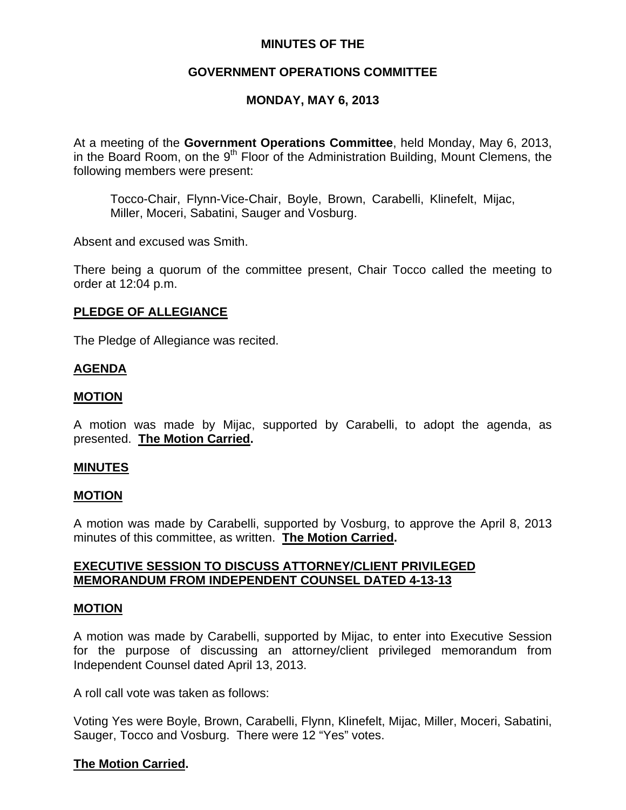# **MINUTES OF THE**

# **GOVERNMENT OPERATIONS COMMITTEE**

# **MONDAY, MAY 6, 2013**

At a meeting of the **Government Operations Committee**, held Monday, May 6, 2013, in the Board Room, on the  $9<sup>th</sup>$  Floor of the Administration Building, Mount Clemens, the following members were present:

Tocco-Chair, Flynn-Vice-Chair, Boyle, Brown, Carabelli, Klinefelt, Mijac, Miller, Moceri, Sabatini, Sauger and Vosburg.

Absent and excused was Smith.

There being a quorum of the committee present, Chair Tocco called the meeting to order at 12:04 p.m.

### **PLEDGE OF ALLEGIANCE**

The Pledge of Allegiance was recited.

### **AGENDA**

### **MOTION**

A motion was made by Mijac, supported by Carabelli, to adopt the agenda, as presented. **The Motion Carried.** 

#### **MINUTES**

#### **MOTION**

A motion was made by Carabelli, supported by Vosburg, to approve the April 8, 2013 minutes of this committee, as written. **The Motion Carried.** 

### **EXECUTIVE SESSION TO DISCUSS ATTORNEY/CLIENT PRIVILEGED MEMORANDUM FROM INDEPENDENT COUNSEL DATED 4-13-13**

#### **MOTION**

A motion was made by Carabelli, supported by Mijac, to enter into Executive Session for the purpose of discussing an attorney/client privileged memorandum from Independent Counsel dated April 13, 2013.

A roll call vote was taken as follows:

Voting Yes were Boyle, Brown, Carabelli, Flynn, Klinefelt, Mijac, Miller, Moceri, Sabatini, Sauger, Tocco and Vosburg. There were 12 "Yes" votes.

### **The Motion Carried.**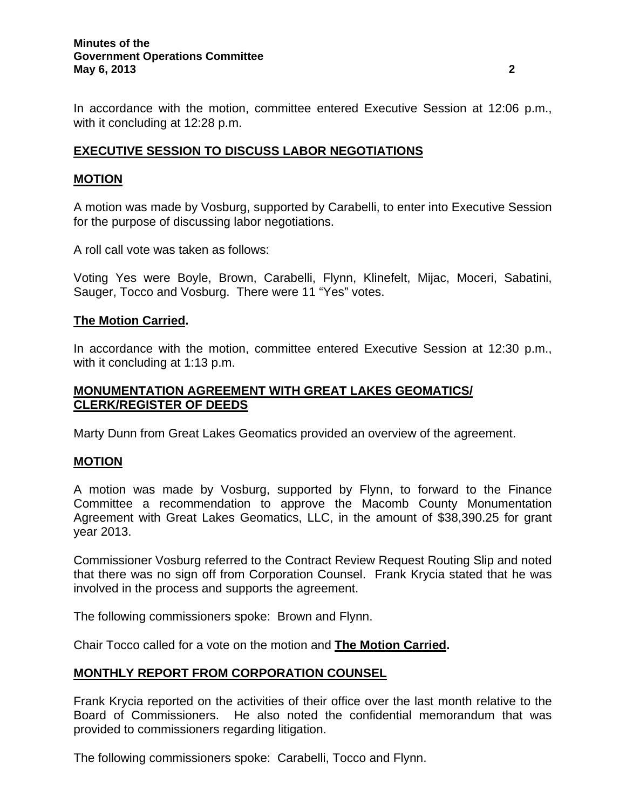#### **Minutes of the Government Operations Committee May 6, 2013 2**

In accordance with the motion, committee entered Executive Session at 12:06 p.m., with it concluding at 12:28 p.m.

# **EXECUTIVE SESSION TO DISCUSS LABOR NEGOTIATIONS**

#### **MOTION**

A motion was made by Vosburg, supported by Carabelli, to enter into Executive Session for the purpose of discussing labor negotiations.

A roll call vote was taken as follows:

Voting Yes were Boyle, Brown, Carabelli, Flynn, Klinefelt, Mijac, Moceri, Sabatini, Sauger, Tocco and Vosburg. There were 11 "Yes" votes.

### **The Motion Carried.**

In accordance with the motion, committee entered Executive Session at 12:30 p.m., with it concluding at 1:13 p.m.

## **MONUMENTATION AGREEMENT WITH GREAT LAKES GEOMATICS/ CLERK/REGISTER OF DEEDS**

Marty Dunn from Great Lakes Geomatics provided an overview of the agreement.

# **MOTION**

A motion was made by Vosburg, supported by Flynn, to forward to the Finance Committee a recommendation to approve the Macomb County Monumentation Agreement with Great Lakes Geomatics, LLC, in the amount of \$38,390.25 for grant year 2013.

Commissioner Vosburg referred to the Contract Review Request Routing Slip and noted that there was no sign off from Corporation Counsel. Frank Krycia stated that he was involved in the process and supports the agreement.

The following commissioners spoke: Brown and Flynn.

Chair Tocco called for a vote on the motion and **The Motion Carried.** 

### **MONTHLY REPORT FROM CORPORATION COUNSEL**

Frank Krycia reported on the activities of their office over the last month relative to the Board of Commissioners. He also noted the confidential memorandum that was provided to commissioners regarding litigation.

The following commissioners spoke: Carabelli, Tocco and Flynn.